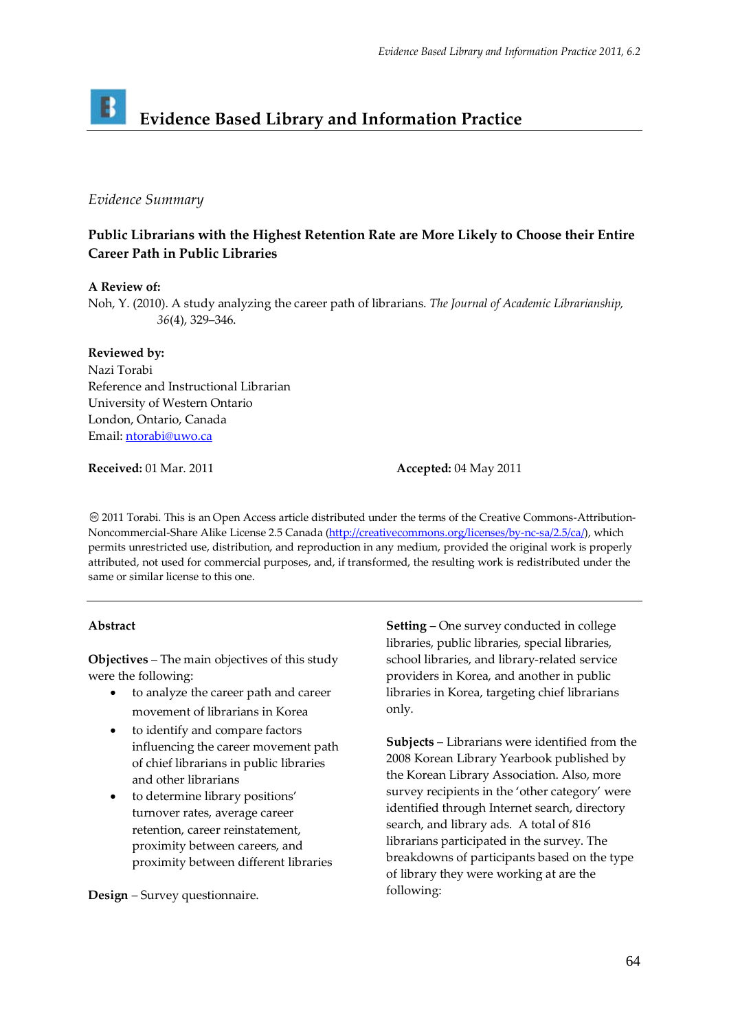## B **Evidence Based Library and Information Practice**

### *Evidence Summary*

# **Public Librarians with the Highest Retention Rate are More Likely to Choose their Entire Career Path in Public Libraries**

### **A Review of:**

Noh, Y. (2010). A study analyzing the career path of librarians. *The Journal of Academic Librarianship, 36*(4), 329–346.

### **Reviewed by:**

Nazi Torabi Reference and Instructional Librarian University of Western Ontario London, Ontario, Canada Email: [ntorabi@uwo.ca](mailto:ntorabi@uwo.ca)

**Received:** 01 Mar. 2011 **Accepted:** 04 May 2011

2011 Torabi. This is an Open Access article distributed under the terms of the Creative Commons-Attribution-Noncommercial-Share Alike License 2.5 Canada (http://creativecommons.org/licenses/by-nc-sa/2.5/ca/), which permits unrestricted use, distribution, and reproduction in any medium, provided the original work is properly attributed, not used for commercial purposes, and, if transformed, the resulting work is redistributed under the same or similar license to this one.

#### **Abstract**

**Objectives** – The main objectives of this study were the following:

- to analyze the career path and career movement of librarians in Korea
- to identify and compare factors influencing the career movement path of chief librarians in public libraries and other librarians
- to determine library positions' turnover rates, average career retention, career reinstatement, proximity between careers, and proximity between different libraries

**Design** – Survey questionnaire.

**Setting** – One survey conducted in college libraries, public libraries, special libraries, school libraries, and library-related service providers in Korea, and another in public libraries in Korea, targeting chief librarians only.

**Subjects** – Librarians were identified from the 2008 Korean Library Yearbook published by the Korean Library Association. Also, more survey recipients in the 'other category' were identified through Internet search, directory search, and library ads. A total of 816 librarians participated in the survey. The breakdowns of participants based on the type of library they were working at are the following: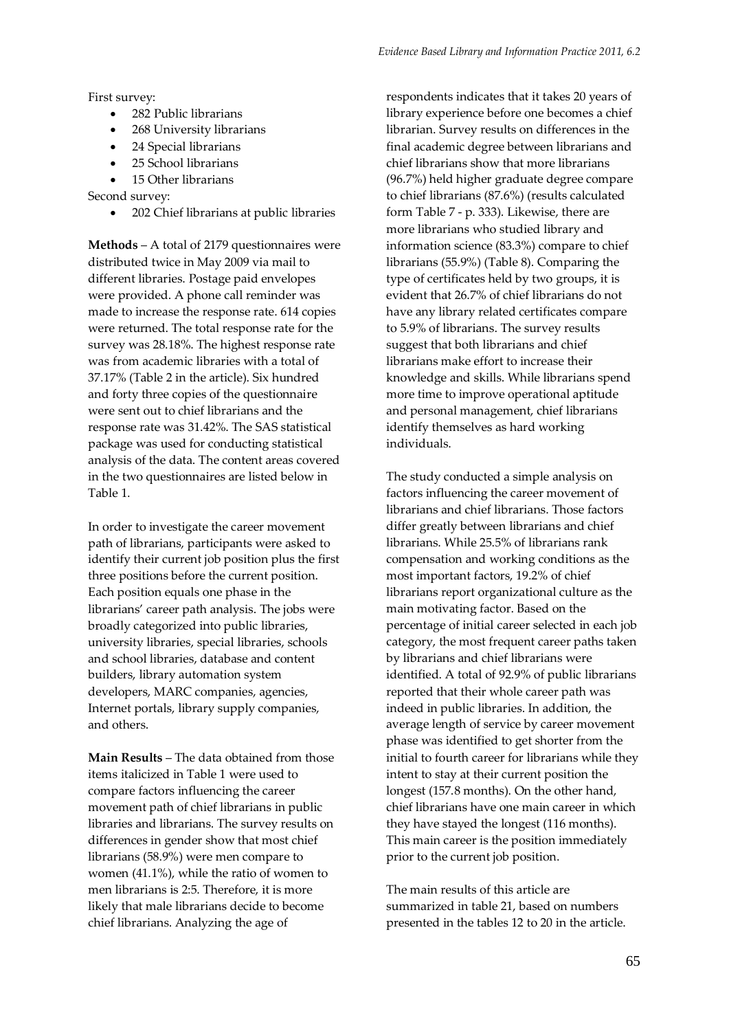First survey:

- 282 Public librarians
- 268 University librarians
- 24 Special librarians
- 25 School librarians
- 15 Other librarians

Second survey:

• 202 Chief librarians at public libraries

**Methods** – A total of 2179 questionnaires were distributed twice in May 2009 via mail to different libraries. Postage paid envelopes were provided. A phone call reminder was made to increase the response rate. 614 copies were returned. The total response rate for the survey was 28.18%. The highest response rate was from academic libraries with a total of 37.17% (Table 2 in the article). Six hundred and forty three copies of the questionnaire were sent out to chief librarians and the response rate was 31.42%. The SAS statistical package was used for conducting statistical analysis of the data. The content areas covered in the two questionnaires are listed below in Table 1.

In order to investigate the career movement path of librarians, participants were asked to identify their current job position plus the first three positions before the current position. Each position equals one phase in the librarians' career path analysis. The jobs were broadly categorized into public libraries, university libraries, special libraries, schools and school libraries, database and content builders, library automation system developers, MARC companies, agencies, Internet portals, library supply companies, and others.

**Main Results** – The data obtained from those items italicized in Table 1 were used to compare factors influencing the career movement path of chief librarians in public libraries and librarians. The survey results on differences in gender show that most chief librarians (58.9%) were men compare to women (41.1%), while the ratio of women to men librarians is 2:5. Therefore, it is more likely that male librarians decide to become chief librarians. Analyzing the age of

respondents indicates that it takes 20 years of library experience before one becomes a chief librarian. Survey results on differences in the final academic degree between librarians and chief librarians show that more librarians (96.7%) held higher graduate degree compare to chief librarians (87.6%) (results calculated form Table 7 - p. 333). Likewise, there are more librarians who studied library and information science (83.3%) compare to chief librarians (55.9%) (Table 8). Comparing the type of certificates held by two groups, it is evident that 26.7% of chief librarians do not have any library related certificates compare to 5.9% of librarians. The survey results suggest that both librarians and chief librarians make effort to increase their knowledge and skills. While librarians spend more time to improve operational aptitude and personal management, chief librarians identify themselves as hard working individuals.

The study conducted a simple analysis on factors influencing the career movement of librarians and chief librarians. Those factors differ greatly between librarians and chief librarians. While 25.5% of librarians rank compensation and working conditions as the most important factors, 19.2% of chief librarians report organizational culture as the main motivating factor. Based on the percentage of initial career selected in each job category, the most frequent career paths taken by librarians and chief librarians were identified. A total of 92.9% of public librarians reported that their whole career path was indeed in public libraries. In addition, the average length of service by career movement phase was identified to get shorter from the initial to fourth career for librarians while they intent to stay at their current position the longest (157.8 months). On the other hand, chief librarians have one main career in which they have stayed the longest (116 months). This main career is the position immediately prior to the current job position.

The main results of this article are summarized in table 21, based on numbers presented in the tables 12 to 20 in the article.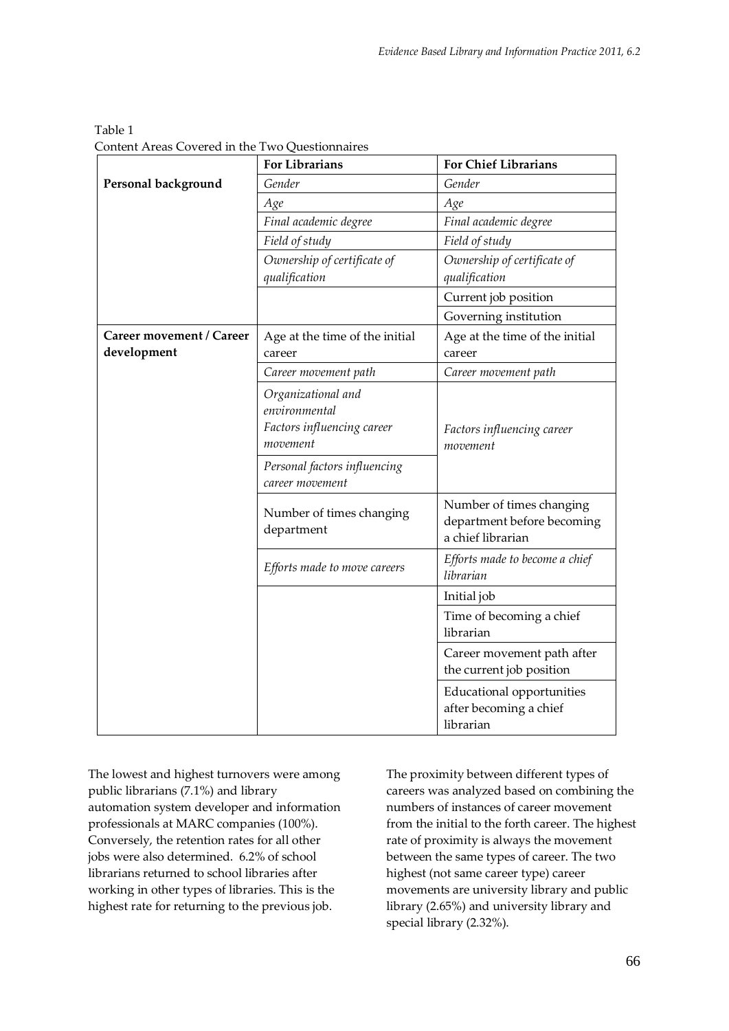|                                         | <b>For Librarians</b>                                                         | <b>For Chief Librarians</b>                                                 |
|-----------------------------------------|-------------------------------------------------------------------------------|-----------------------------------------------------------------------------|
| Personal background                     | Gender                                                                        | Gender                                                                      |
|                                         | Age                                                                           | Age                                                                         |
|                                         | Final academic degree                                                         | Final academic degree                                                       |
|                                         | Field of study                                                                | Field of study                                                              |
|                                         | Ownership of certificate of<br>qualification                                  | Ownership of certificate of<br>qualification                                |
|                                         |                                                                               | Current job position                                                        |
|                                         |                                                                               | Governing institution                                                       |
| Career movement / Career<br>development | Age at the time of the initial<br>career                                      | Age at the time of the initial<br>career                                    |
|                                         | Career movement path                                                          | Career movement path                                                        |
|                                         | Organizational and<br>environmental<br>Factors influencing career<br>movement | Factors influencing career<br>movement                                      |
|                                         | Personal factors influencing<br>career movement                               |                                                                             |
|                                         | Number of times changing<br>department                                        | Number of times changing<br>department before becoming<br>a chief librarian |
|                                         | Efforts made to move careers                                                  | Efforts made to become a chief<br>librarian                                 |
|                                         |                                                                               | Initial job                                                                 |
|                                         |                                                                               | Time of becoming a chief<br>librarian                                       |
|                                         |                                                                               | Career movement path after<br>the current job position                      |
|                                         |                                                                               | Educational opportunities<br>after becoming a chief<br>librarian            |

Table 1

The lowest and highest turnovers were among public librarians (7.1%) and library automation system developer and information professionals at MARC companies (100%). Conversely, the retention rates for all other jobs were also determined. 6.2% of school librarians returned to school libraries after working in other types of libraries. This is the highest rate for returning to the previous job.

The proximity between different types of careers was analyzed based on combining the numbers of instances of career movement from the initial to the forth career. The highest rate of proximity is always the movement between the same types of career. The two highest (not same career type) career movements are university library and public library (2.65%) and university library and special library (2.32%).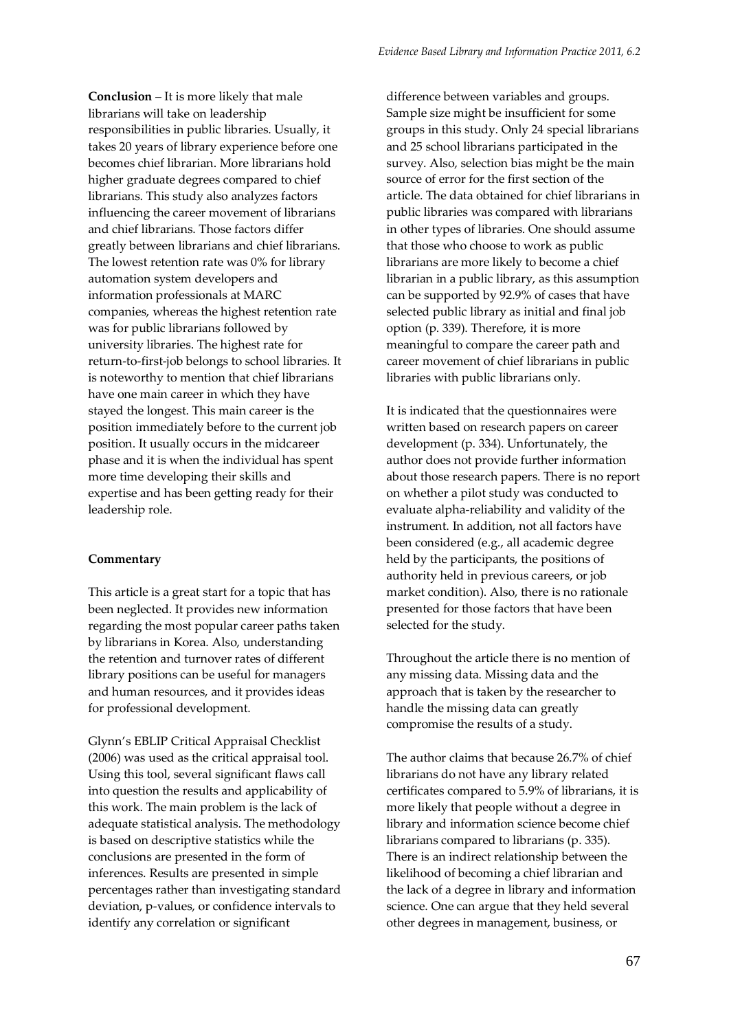**Conclusion** – It is more likely that male librarians will take on leadership responsibilities in public libraries. Usually, it takes 20 years of library experience before one becomes chief librarian. More librarians hold higher graduate degrees compared to chief librarians. This study also analyzes factors influencing the career movement of librarians and chief librarians. Those factors differ greatly between librarians and chief librarians. The lowest retention rate was 0% for library automation system developers and information professionals at MARC companies, whereas the highest retention rate was for public librarians followed by university libraries. The highest rate for return-to-first-job belongs to school libraries. It is noteworthy to mention that chief librarians have one main career in which they have stayed the longest. This main career is the position immediately before to the current job position. It usually occurs in the midcareer phase and it is when the individual has spent more time developing their skills and expertise and has been getting ready for their leadership role.

#### **Commentary**

This article is a great start for a topic that has been neglected. It provides new information regarding the most popular career paths taken by librarians in Korea. Also, understanding the retention and turnover rates of different library positions can be useful for managers and human resources, and it provides ideas for professional development.

Glynn's EBLIP Critical Appraisal Checklist (2006) was used as the critical appraisal tool. Using this tool, several significant flaws call into question the results and applicability of this work. The main problem is the lack of adequate statistical analysis. The methodology is based on descriptive statistics while the conclusions are presented in the form of inferences. Results are presented in simple percentages rather than investigating standard deviation, p-values, or confidence intervals to identify any correlation or significant

difference between variables and groups. Sample size might be insufficient for some groups in this study. Only 24 special librarians and 25 school librarians participated in the survey. Also, selection bias might be the main source of error for the first section of the article. The data obtained for chief librarians in public libraries was compared with librarians in other types of libraries. One should assume that those who choose to work as public librarians are more likely to become a chief librarian in a public library, as this assumption can be supported by 92.9% of cases that have selected public library as initial and final job option (p. 339). Therefore, it is more meaningful to compare the career path and career movement of chief librarians in public libraries with public librarians only.

It is indicated that the questionnaires were written based on research papers on career development (p. 334). Unfortunately, the author does not provide further information about those research papers. There is no report on whether a pilot study was conducted to evaluate alpha-reliability and validity of the instrument. In addition, not all factors have been considered (e.g., all academic degree held by the participants, the positions of authority held in previous careers, or job market condition). Also, there is no rationale presented for those factors that have been selected for the study.

Throughout the article there is no mention of any missing data. Missing data and the approach that is taken by the researcher to handle the missing data can greatly compromise the results of a study.

The author claims that because 26.7% of chief librarians do not have any library related certificates compared to 5.9% of librarians, it is more likely that people without a degree in library and information science become chief librarians compared to librarians (p. 335). There is an indirect relationship between the likelihood of becoming a chief librarian and the lack of a degree in library and information science. One can argue that they held several other degrees in management, business, or